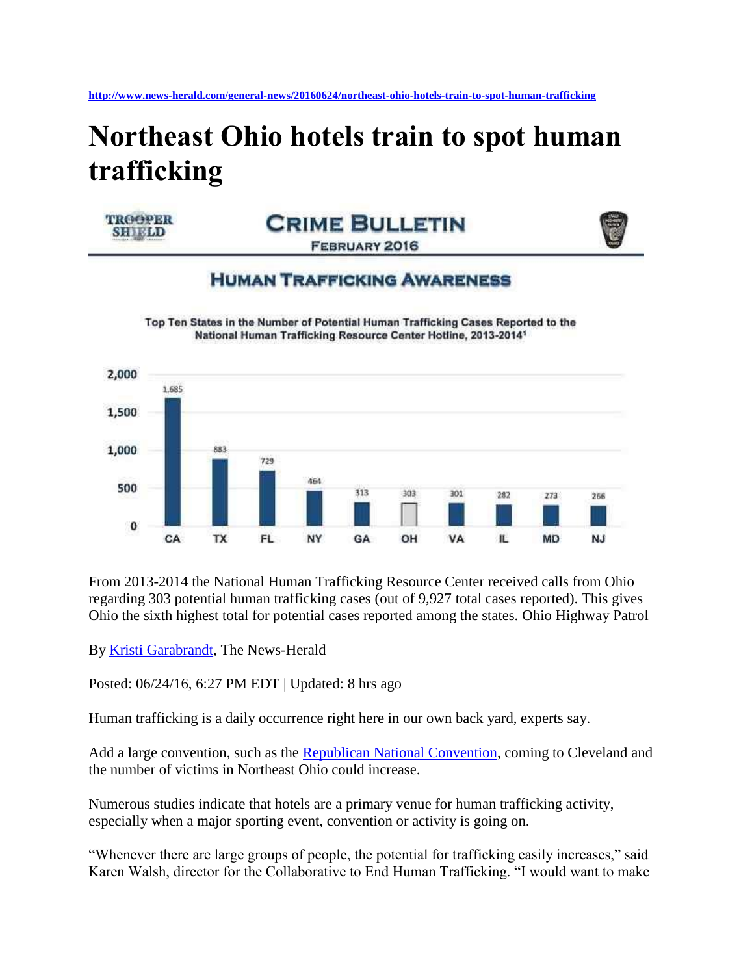## **Northeast Ohio hotels train to spot human trafficking**



**CRIME BULLETIN FEBRUARY 2016** 



**HUMAN TRAFFICKING AWARENESS** 

Top Ten States in the Number of Potential Human Trafficking Cases Reported to the National Human Trafficking Resource Center Hotline, 2013-20141



From 2013-2014 the National Human Trafficking Resource Center received calls from Ohio regarding 303 potential human trafficking cases (out of 9,927 total cases reported). This gives Ohio the sixth highest total for potential cases reported among the states. Ohio Highway Patrol

By [Kristi Garabrandt,](http://www.news-herald.com/general-news/20160624/northeast-ohio-hotels-train-to-spot-human-trafficking#author1) The News-Herald

Posted: 06/24/16, 6:27 PM EDT | Updated: 8 hrs ago

Human trafficking is a daily occurrence right here in our own back yard, experts say.

Add a large convention, such as the [Republican National Convention,](http://www.news-herald.com/topic/republican_national_convention) coming to Cleveland and the number of victims in Northeast Ohio could increase.

Numerous studies indicate that hotels are a primary venue for human trafficking activity, especially when a major sporting event, convention or activity is going on.

"Whenever there are large groups of people, the potential for trafficking easily increases," said Karen Walsh, director for the Collaborative to End Human Trafficking. "I would want to make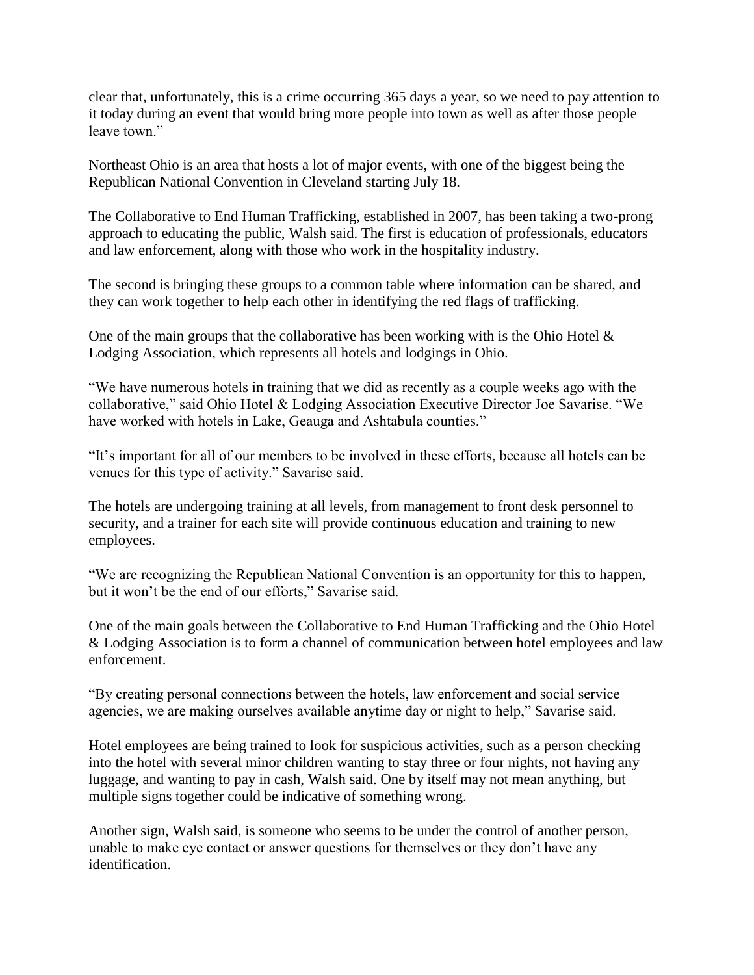clear that, unfortunately, this is a crime occurring 365 days a year, so we need to pay attention to it today during an event that would bring more people into town as well as after those people leave town."

Northeast Ohio is an area that hosts a lot of major events, with one of the biggest being the Republican National Convention in Cleveland starting July 18.

The Collaborative to End Human Trafficking, established in 2007, has been taking a two-prong approach to educating the public, Walsh said. The first is education of professionals, educators and law enforcement, along with those who work in the hospitality industry.

The second is bringing these groups to a common table where information can be shared, and they can work together to help each other in identifying the red flags of trafficking.

One of the main groups that the collaborative has been working with is the Ohio Hotel & Lodging Association, which represents all hotels and lodgings in Ohio.

"We have numerous hotels in training that we did as recently as a couple weeks ago with the collaborative," said Ohio Hotel & Lodging Association Executive Director Joe Savarise. "We have worked with hotels in Lake, Geauga and Ashtabula counties."

"It's important for all of our members to be involved in these efforts, because all hotels can be venues for this type of activity." Savarise said.

The hotels are undergoing training at all levels, from management to front desk personnel to security, and a trainer for each site will provide continuous education and training to new employees.

"We are recognizing the Republican National Convention is an opportunity for this to happen, but it won't be the end of our efforts," Savarise said.

One of the main goals between the Collaborative to End Human Trafficking and the Ohio Hotel & Lodging Association is to form a channel of communication between hotel employees and law enforcement.

"By creating personal connections between the hotels, law enforcement and social service agencies, we are making ourselves available anytime day or night to help," Savarise said.

Hotel employees are being trained to look for suspicious activities, such as a person checking into the hotel with several minor children wanting to stay three or four nights, not having any luggage, and wanting to pay in cash, Walsh said. One by itself may not mean anything, but multiple signs together could be indicative of something wrong.

Another sign, Walsh said, is someone who seems to be under the control of another person, unable to make eye contact or answer questions for themselves or they don't have any identification.